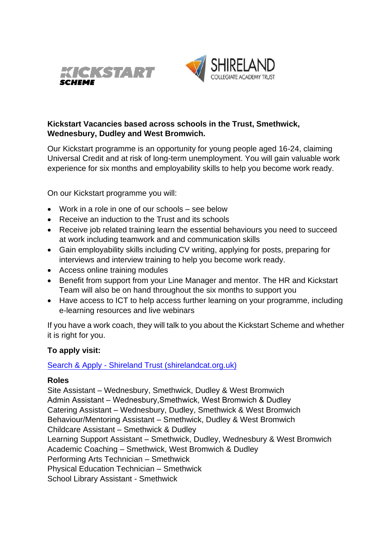



## **Kickstart Vacancies based across schools in the Trust, Smethwick, Wednesbury, Dudley and West Bromwich.**

Our Kickstart programme is an opportunity for young people aged 16-24, claiming Universal Credit and at risk of long-term unemployment. You will gain valuable work experience for six months and employability skills to help you become work ready.

On our Kickstart programme you will:

- Work in a role in one of our schools see below
- Receive an induction to the Trust and its schools
- Receive job related training learn the essential behaviours you need to succeed at work including teamwork and and communication skills
- Gain employability skills including CV writing, applying for posts, preparing for interviews and interview training to help you become work ready.
- Access online training modules
- Benefit from support from your Line Manager and mentor. The HR and Kickstart Team will also be on hand throughout the six months to support you
- Have access to ICT to help access further learning on your programme, including e-learning resources and live webinars

If you have a work coach, they will talk to you about the Kickstart Scheme and whether it is right for you.

## **To apply visit:**

[Search & Apply - Shireland Trust \(shirelandcat.org.uk\)](https://www.shirelandcat.org.uk/working-for-us/search-apply/)

## **Roles**

Site Assistant – Wednesbury, Smethwick, Dudley & West Bromwich Admin Assistant – Wednesbury,Smethwick, West Bromwich & Dudley Catering Assistant – Wednesbury, Dudley, Smethwick & West Bromwich Behaviour/Mentoring Assistant – Smethwick, Dudley & West Bromwich Childcare Assistant – Smethwick & Dudley Learning Support Assistant – Smethwick, Dudley, Wednesbury & West Bromwich Academic Coaching – Smethwick, West Bromwich & Dudley Performing Arts Technician – Smethwick Physical Education Technician – Smethwick School Library Assistant - Smethwick